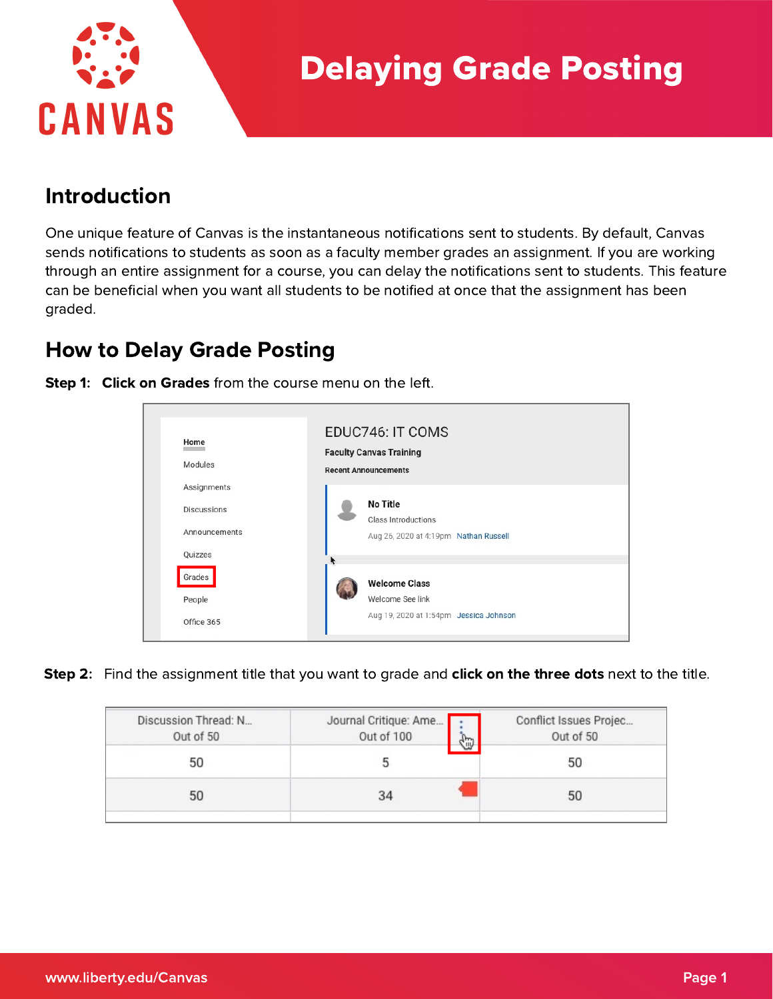

### Introduction

One unique feature of Canvas is the instantaneous notifications sent to students. By default, Canvas sends notifications to students as soon as a faculty member grades an assignment. If you are working through an entire assignment for a course, you can delay the notifications sent to students. This feature can be beneficial when you want all students to be notified at once that the assignment has been graded.

## How to Delay Grade Posting



Step 1: Click on Grades from the course menu on the left.

**Step 2:** Find the assignment title that you want to grade and **click on the three dots** next to the title.

| Discussion Thread: N<br>Out of 50 | Journal Critique: Ame<br>Out of 100<br>G | Conflict Issues Projec<br>Out of 50 |
|-----------------------------------|------------------------------------------|-------------------------------------|
| 50                                |                                          | 50                                  |
| 50                                | 34                                       | 50                                  |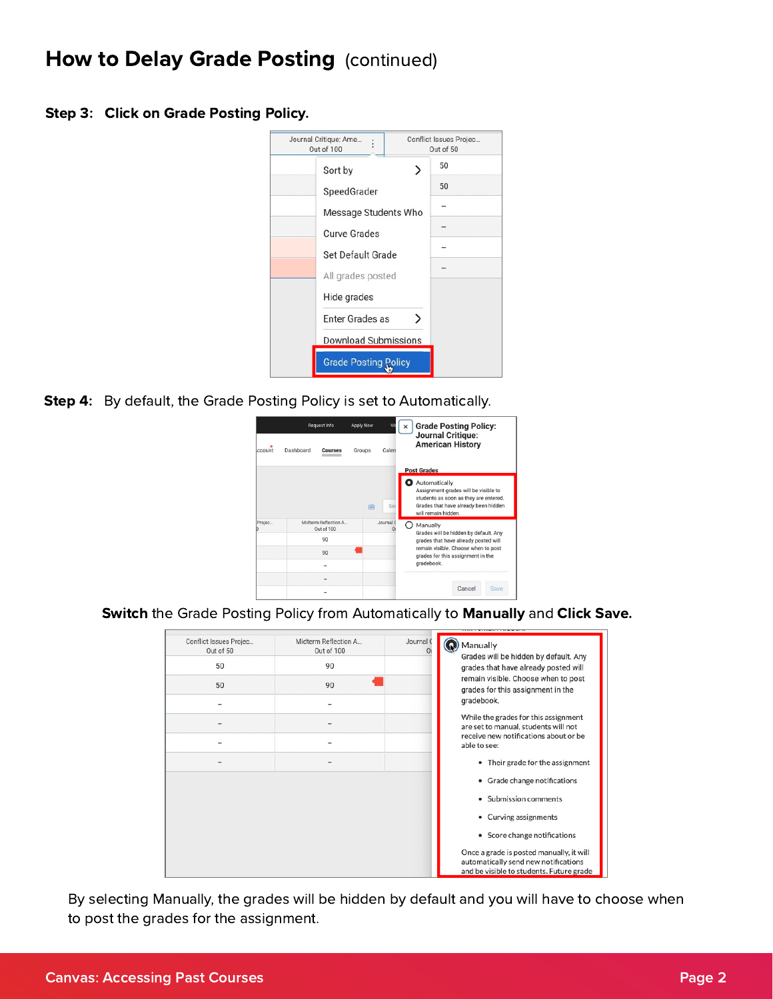### How to Delay Grade Posting (continued)

Step 3: Click on Grade Posting Policy.



Step 4: By default, the Grade Posting Policy is set to Automatically.



Switch the Grade Posting Policy from Automatically to Manually and Click Save.

| Conflict Issues Projec<br>Out of 50 | Midterm Reflection A<br>Out of 100 | Journal C<br>O۱ | Manually<br>Grades will be hidden by default. Any<br>grades that have already posted will<br>remain visible. Choose when to post<br>grades for this assignment in the<br>gradebook. |
|-------------------------------------|------------------------------------|-----------------|-------------------------------------------------------------------------------------------------------------------------------------------------------------------------------------|
| 50                                  | 90                                 |                 |                                                                                                                                                                                     |
| 50                                  | 90                                 |                 |                                                                                                                                                                                     |
|                                     |                                    |                 |                                                                                                                                                                                     |
|                                     |                                    |                 | While the grades for this assignment<br>are set to manual, students will not                                                                                                        |
|                                     |                                    |                 | receive new notifications about or be<br>able to see:                                                                                                                               |
|                                     |                                    |                 | • Their grade for the assignment                                                                                                                                                    |
|                                     |                                    |                 | • Grade change notifications                                                                                                                                                        |
|                                     |                                    |                 | Submission comments<br>٠                                                                                                                                                            |
|                                     |                                    |                 | • Curving assignments                                                                                                                                                               |
|                                     |                                    |                 | • Score change notifications                                                                                                                                                        |
|                                     |                                    |                 | Once a grade is posted manually, it will<br>automatically send new notifications<br>and be visible to students. Future grade                                                        |

By selecting Manually, the grades will be hidden by default and you will have to choose when to post the grades for the assignment.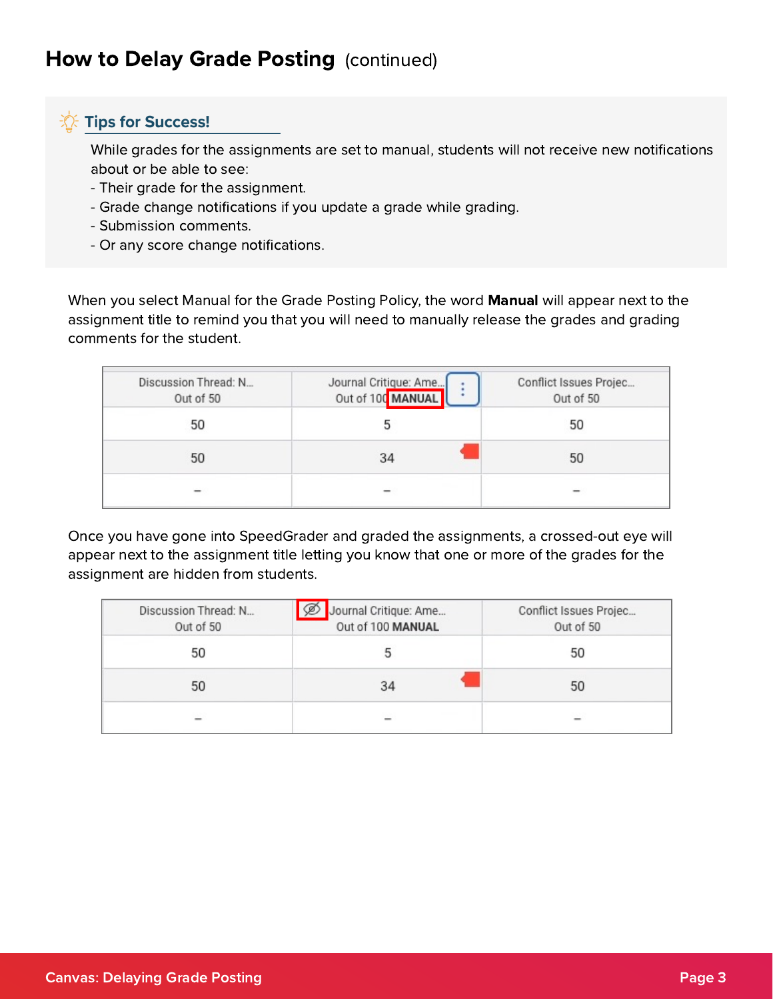#### **Tips for Success!**

While grades for the assignments are set to manual, students will not receive new notifications about or be able to see:

- Their grade for the assignment.
- Grade change notifications if you update a grade while grading.
- Submission comments.
- Or any score change notifications.

When you select Manual for the Grade Posting Policy, the word Manual will appear next to the assignment title to remind you that you will need to manually release the grades and grading comments for the student.

| Discussion Thread: N<br>Out of 50 | Journal Critique: Ame<br>Out of 100 MANUAL | Conflict Issues Projec<br>Out of 50 |
|-----------------------------------|--------------------------------------------|-------------------------------------|
| 50                                |                                            | 50                                  |
| 50                                | 34                                         | 50                                  |
|                                   |                                            |                                     |

Once you have gone into SpeedGrader and graded the assignments, a crossed-out eye will appear next to the assignment title letting you know that one or more of the grades for the assignment are hidden from students.

| Discussion Thread: N<br>Out of 50 | Journal Critique: Ame<br>L<br>Out of 100 MANUAL | Conflict Issues Projec<br>Out of 50 |
|-----------------------------------|-------------------------------------------------|-------------------------------------|
| 50                                |                                                 | 50                                  |
| 50                                | 34                                              | 50                                  |
|                                   |                                                 |                                     |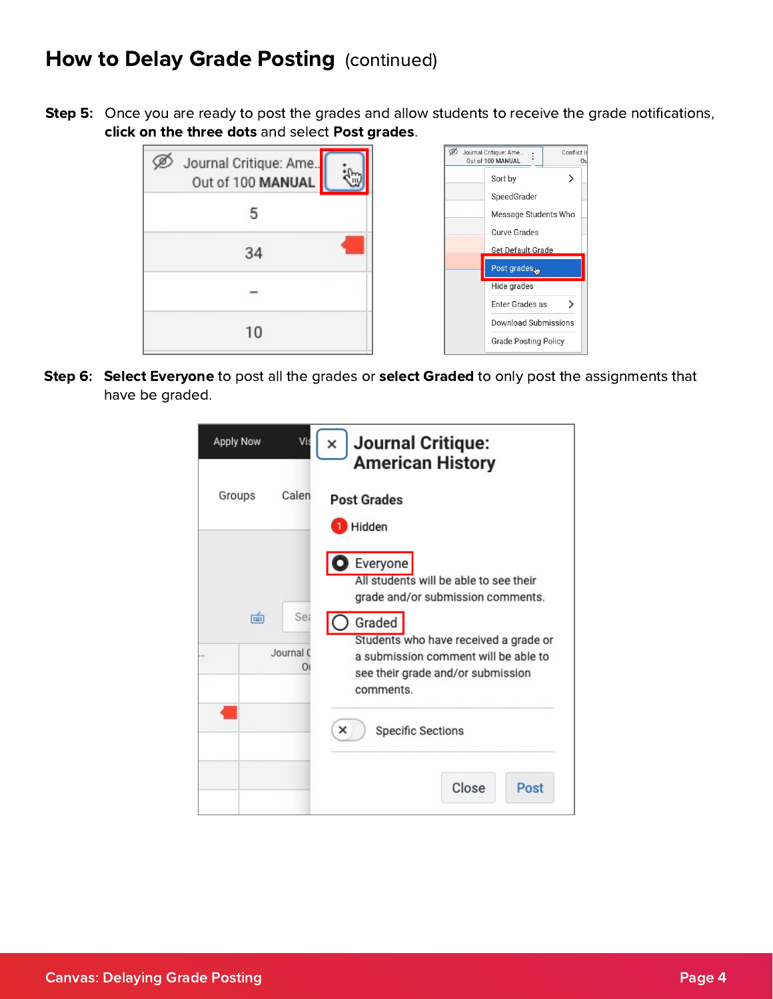# How to Delay Grade Posting (continued)

**Step 5:** Once you are ready to post the grades and allow students to receive the grade notifications, click on the three dots and select Post grades.

| Journal Critique: Ame<br>Out of 100 MANUAL |  |
|--------------------------------------------|--|
| 5                                          |  |
| 34                                         |  |
|                                            |  |
| 10                                         |  |

| Journal Critique: Ame<br>Out of 100 MANUAL | Conflict Is<br>Ωı |
|--------------------------------------------|-------------------|
| Sort by                                    | ゝ                 |
| SpeedGrader                                |                   |
| Message Students Who                       |                   |
| Curve Grades                               |                   |
| Set Default Grade                          |                   |
| Post grades                                |                   |
| Hide grades                                |                   |
| Enter Grades as                            | ゝ                 |
| Download Submissions                       |                   |
| <b>Grade Posting Policy</b>                |                   |

Step 6: Select Everyone to post all the grades or select Graded to only post the assignments that have be graded.

| Apply Now<br>Vi       | <b>Journal Critique:</b><br>×<br><b>American History</b>                                                                                  |
|-----------------------|-------------------------------------------------------------------------------------------------------------------------------------------|
| Calen<br>Groups       | <b>Post Grades</b><br>Hidden                                                                                                              |
|                       | Everyone<br>All students will be able to see their<br>grade and/or submission comments.                                                   |
| 面<br>Sea<br>Journal C | Graded<br>Students who have received a grade or<br>a submission comment will be able to<br>see their grade and/or submission<br>comments. |
|                       | ×<br><b>Specific Sections</b>                                                                                                             |
|                       | Close<br>Post                                                                                                                             |